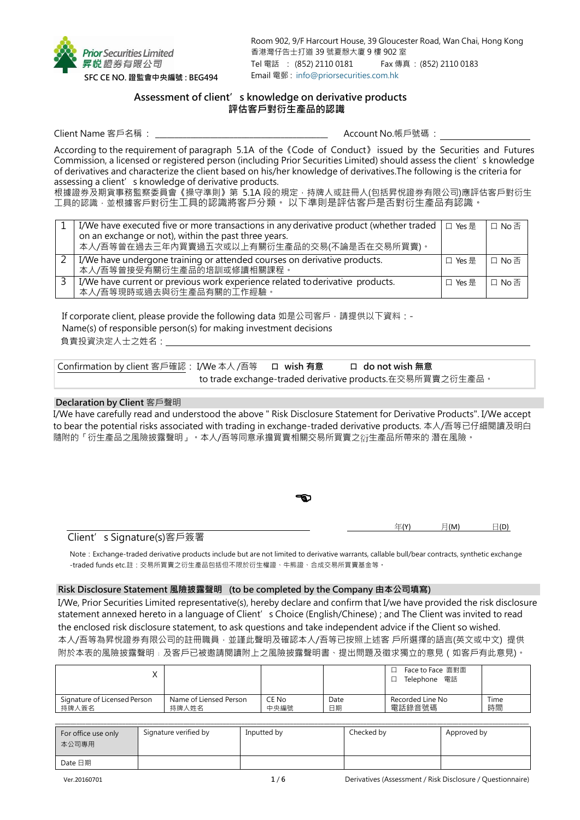

Room 902, 9/F Harcourt House, 39 Gloucester Road, Wan Chai, Hong Kong 香港灣仔告士打道 39 號夏慤大廈 9 樓 902 室 Tel 電話 : (852) 2110 0181 Fax 傳真 : (852) 2110 0183 Email 電郵 : [info@priorsecurities.com.hk](mailto:info@priorsecurities.com.hk)

# **Assessment of client's knowledge on derivative products 評估客戶對衍生產品的認識**

Client Name 客戶名稱 : \_\_\_\_\_\_\_\_\_\_\_\_\_\_\_\_\_\_\_\_\_\_\_\_\_\_\_\_\_\_\_\_\_\_\_\_\_\_\_\_\_\_\_\_ Account No.帳戶號碼 :

According to the requirement of paragraph 5.1A of the《Code of Conduct》 issued by the Securities and Futures Commission, a licensed or registered person (including Prior Securities Limited) should assess the client's knowledge of derivatives and characterize the client based on his/her knowledge of derivatives.The following is the criteria for assessing a client's knowledge of derivative products.

根據證券及期貨事務監察委員會《操守準則》第 5.1A 段的規定,持牌人或註冊人(包括昇悅證券有限公司)應評估客戶對衍生 工具的認識,並根據客戶對衍生工具的認識將客戶分類。 以下準則是評估客戶是否對衍生產品有認識。

| I/We have executed five or more transactions in any derivative product (whether traded $  \Box \text{ Yes } \equiv$ |         | □ No 否 |
|---------------------------------------------------------------------------------------------------------------------|---------|--------|
| on an exchange or not), within the past three years.<br>本人/吾等曾在過去三年內買賣過五次或以上有關衍生產品的交易(不論是否在交易所買賣)。                  |         |        |
| I/We have undergone training or attended courses on derivative products.<br>本人/吾等曾接受有關衍生產品的培訓或修讀相關課程。               | 口 Yes 是 | □ No 否 |
| I/We have current or previous work experience related to derivative products.<br>本人/吾等現時或過去與衍生產品有關的工作經驗。            | 口 Yes 是 | 口No否   |

If corporate client, please provide the following data 如是公司客戶,請提供以下資料:-Name(s) of responsible person(s) for making investment decisions

負責投資決定人士之姓名:

Confirmation by client 客戶確認: I/We 本人 /吾等 **口 wish 有意 口 do not wish 無意** to trade exchange-traded derivative products.在交易所買賣之衍生產品。

## **Declaration by Client** 客戶聲明

I/We have carefully read and understood the above " Risk Disclosure Statement for Derivative Products". I/We accept to bear the potential risks associated with trading in exchange-traded derivative products. 本人/吾等已仔細閱讀及明白 隨附的「衍生產品之風險披露聲明」。本人/吾等同意承擔買賣相關交易所買賣之衍生產品所帶來的 潛在風險。

年(Y) 月(M) 日(D)

# Client's Signature(s)客戶簽署

Note: Exchange-traded derivative products include but are not limited to derivative warrants, callable bull/bear contracts, synthetic exchange -traded funds etc.註:交易所買賣之衍生產品包括但不限於衍生權證、牛熊證、合成交易所買賣基金等。

#### **Risk Disclosure Statement 風險披露聲明 (to be completed by the Company 由本公司填寫)**

I/We, Prior Securities Limited representative(s), hereby declare and confirm that I/we have provided the risk disclosure statement annexed hereto in a language of Client' s Choice (English/Chinese) ; and The Client was invited to read the enclosed risk disclosure statement, to ask questions and take independent advice if the Client so wished. 本人/吾等為昇悅證券有限公司的註冊職員,並謹此聲明及確認本人/吾等已按照上述客 戶所選擇的語言(英文或中文) 提供 附於本表的風險披露聲明﹔及客戶已被邀請閱讀附上之風險披露聲明書、提出問題及徵求獨立的意見(如客戶有此意見)。

|                              |                        |       |      | Face to Face 面對面<br>Telephone 電話 |      |
|------------------------------|------------------------|-------|------|----------------------------------|------|
| Signature of Licensed Person | Name of Liensed Person | CE No | Date | Recorded Line No                 | Time |
| 持牌人簽名                        | 持牌人姓名                  | 中央編號  | 日期   | 電話錄音號碼                           | 時間   |

| For office use only<br>本公司專用 | Signature verified by | Inputted by | Checked by | Approved by |
|------------------------------|-----------------------|-------------|------------|-------------|
| Date 日期                      |                       |             |            |             |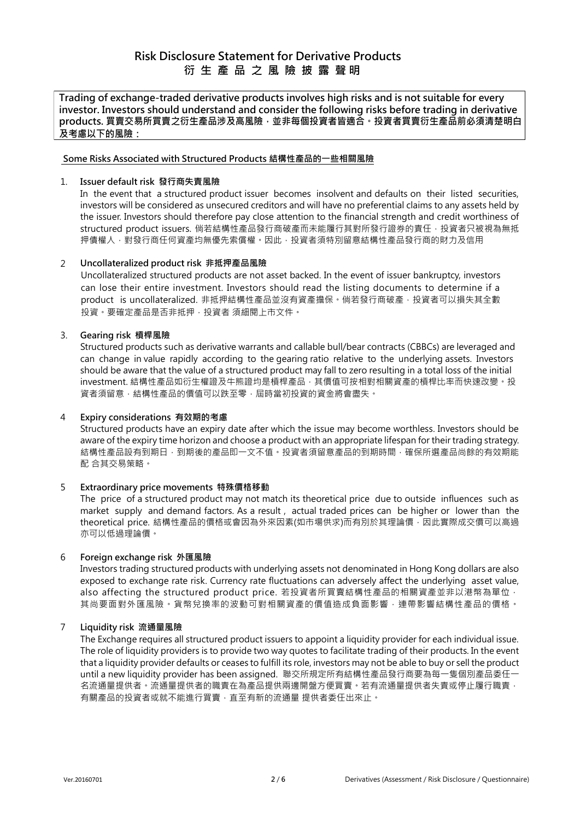**Trading of exchange-traded derivative products involves high risks and is not suitable for every investor. Investors should understand and consider the following risks before trading in derivative products. 買賣交易所買賣之衍生產品涉及高風險,並非每個投資者皆適合。投資者買賣衍生產品前必須清楚明白 及考慮以下的風險:**

## **Some Risks Associated with Structured Products 結構性產品的一些相關風險**

## 1. **Issuer default risk 發行商失責風險**

In the event that a structured product issuer becomes insolvent and defaults on their listed securities, investors will be considered as unsecured creditors and will have no preferential claims to any assets held by the issuer. Investors should therefore pay close attention to the financial strength and credit worthiness of structured product issuers. 倘若結構性產品發行商破產而未能履行其對所發行證券的責任, 投資者只被視為無抵 押債權人,對發行商任何資產均無優先索償權。因此,投資者須特別留意結構性產品發行商的財力及信用

# 2 **Uncollateralized product risk 非抵押產品風險**

Uncollateralized structured products are not asset backed. In the event of issuer bankruptcy, investors can lose their entire investment. Investors should read the listing documents to determine if a product is uncollateralized. 非抵押結構性產品並沒有資產擔保。倘若發行商破產,投資者可以損失其全數 投資。要確定產品是否非抵押,投資者 須細閱上市文件。

## 3. **Gearing risk 槓桿風險**

Structured products such as derivative warrants and callable bull/bear contracts (CBBCs) are leveraged and can change in value rapidly according to the gearing ratio relative to the underlying assets. Investors should be aware that the value of a structured product may fall to zero resulting in a total loss of the initial investment. 結構性產品如衍生權證及牛熊證均是槓桿產品,其價值可按相對相關資產的槓桿比率而快速改變。投 資者須留意,結構性產品的價值可以跌至零,屆時當初投資的資金將會盡失。

#### 4 **Expiry considerations 有效期的考慮**

Structured products have an expiry date after which the issue may become worthless. Investors should be aware of the expiry time horizon and choose a product with an appropriate lifespan for their trading strategy. 結構性產品設有到期日,到期後的產品即一文不值。投資者須留意產品的到期時間,確保所選產品尚餘的有效期能 配 合其交易策略。

# 5 **Extraordinary price movements 特殊價格移動**

The price of a structured product may not match its theoretical price due to outside influences such as market supply and demand factors. As a result , actual traded prices can be higher or lower than the theoretical price. 結構性產品的價格或會因為外來因素(如市場供求)而有別於其理論價,因此實際成交價可以高過 亦可以低過理論價。

#### 6 **Foreign exchange risk 外匯風險**

Investors trading structured products with underlying assets not denominated in Hong Kong dollars are also exposed to exchange rate risk. Currency rate fluctuations can adversely affect the underlying asset value, also affecting the structured product price. 若投資者所買賣結構性產品的相關資產並非以港幣為單位, 其尚要面對外匯風險。貨幣兌換率的波動可對相關資產的價值造成負面影響,連帶影響結構性產品的價格。

#### 7 **Liquidity risk 流通量風險**

The Exchange requires all structured product issuers to appoint a liquidity provider for each individual issue. The role of liquidity providers is to provide two way quotes to facilitate trading of their products. In the event that a liquidity provider defaults or ceases to fulfill its role, investors may not be able to buy or sell the product until a new liquidity provider has been assigned. 聯交所規定所有結構性產品發行商要為每一隻個別產品委任一 名流通量提供者。通量提供者為產品提供兩邊開盤方便買賣。若有流通量提供者失責或停止履行職責, 有關產品的投資者或就不能進行買賣,直至有新的流通量 提供者委任出來止。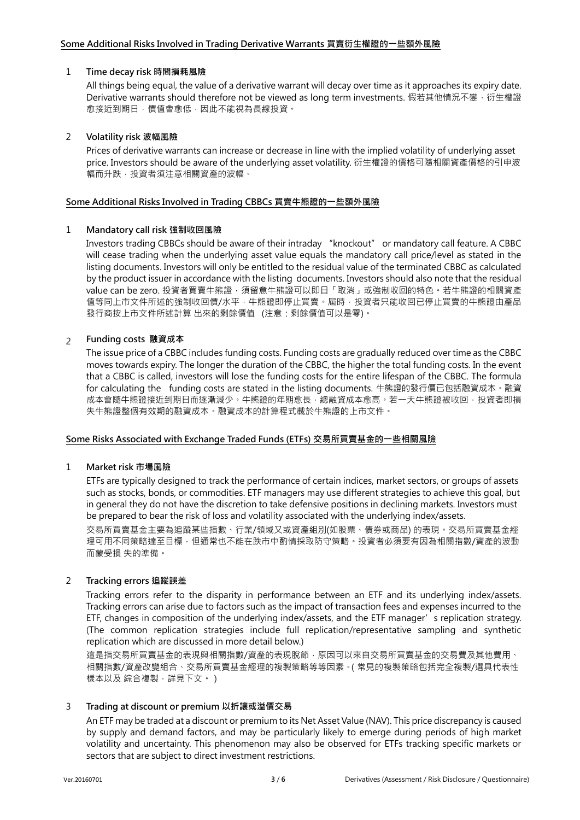## 1 **Time decay risk 時間損耗風險**

All things being equal, the value of a derivative warrant will decay over time as it approaches its expiry date. Derivative warrants should therefore not be viewed as long term investments. 假若其他情況不變, 衍生權證 愈接近到期日,價值會愈低,因此不能視為長線投資。

## 2 **Volatility risk 波幅風險**

Prices of derivative warrants can increase or decrease in line with the implied volatility of underlying asset price. Investors should be aware of the underlying asset volatility. 衍生權證的價格可隨相關資產價格的引申波 幅而升跌,投資者須注意相關資產的波幅。

#### **Some Additional Risks Involved in Trading CBBCs 買賣牛熊證的一些額外風險**

## 1 **Mandatory call risk 強制收回風險**

Investors trading CBBCs should be aware of their intraday "knockout" or mandatory call feature. A CBBC will cease trading when the underlying asset value equals the mandatory call price/level as stated in the listing documents. Investors will only be entitled to the residual value of the terminated CBBC as calculated by the product issuer in accordance with the listing documents. Investors should also note that the residual value can be zero. 投資者買賣牛熊證,須留意牛熊證可以即日「取消」或強制收回的特色。若牛熊證的相關資產 值等同上市文件所述的強制收回價/水平,牛熊證即停止買賣。屆時,投資者只能收回已停止買賣的牛熊證由產品 發行商按上市文件所述計算 出來的剩餘價值 (注意:剩餘價值可以是零)。

# 2 **Funding costs 融資成本**

The issue price of a CBBC includes funding costs. Funding costs are gradually reduced over time as the CBBC moves towards expiry. The longer the duration of the CBBC, the higher the total funding costs. In the event that a CBBC is called, investors will lose the funding costs for the entire lifespan of the CBBC. The formula for calculating the funding costs are stated in the listing documents. 牛熊證的發行價已包括融資成本。融資 成本會隨牛熊證接近到期日而逐漸減少。牛熊證的年期愈長,總融資成本愈高。若一天牛熊證被收回,投資者即損 失牛熊證整個有效期的融資成本。融資成本的計算程式載於牛熊證的上市文件。

#### **Some Risks Associated with Exchange Traded Funds (ETFs) 交易所買賣基金的一些相關風險**

#### 1 **Market risk 市場風險**

ETFs are typically designed to track the performance of certain indices, market sectors, or groups of assets such as stocks, bonds, or commodities. ETF managers may use different strategies to achieve this goal, but in general they do not have the discretion to take defensive positions in declining markets. Investors must be prepared to bear the risk of loss and volatility associated with the underlying index/assets.

交易所買賣基金主要為追蹤某些指數、行業/領域又或資產組別(如股票、債券或商品) 的表現。交易所買賣基金經 理可用不同策略達至目標,但通常也不能在跌市中酌情採取防守策略,投資者必須要有因為相關指數/資產的波動 而蒙受損 失的準備。

# 2 **Tracking errors 追蹤誤差**

Tracking errors refer to the disparity in performance between an ETF and its underlying index/assets. Tracking errors can arise due to factors such as the impact of transaction fees and expenses incurred to the ETF, changes in composition of the underlying index/assets, and the ETF manager's replication strategy. (The common replication strategies include full replication/representative sampling and synthetic replication which are discussed in more detail below.)

這是指交易所買賣基金的表現與相關指數/資產的表現脫節,原因可以來自交易所買賣基金的交易費及其他費用, 相關指數/資產改變組合、交易所買賣基金經理的複製策略等等因素。(常見的複製策略包括完全複製/選具代表性 樣本以及 綜合複製,詳見下文。)

# 3 **Trading at discount or premium 以折讓或溢價交易**

An ETF may be traded at a discount or premium to its Net Asset Value (NAV). This price discrepancy is caused by supply and demand factors, and may be particularly likely to emerge during periods of high market volatility and uncertainty. This phenomenon may also be observed for ETFs tracking specific markets or sectors that are subject to direct investment restrictions.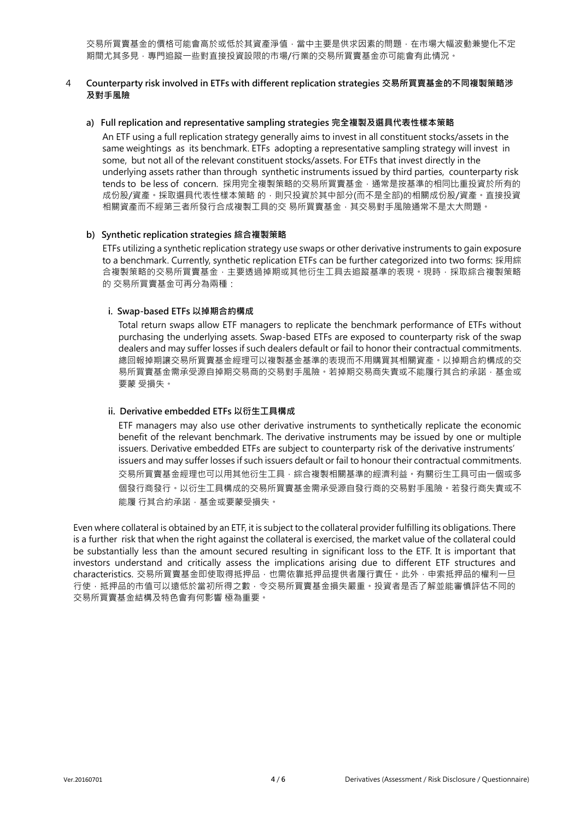交易所買賣基金的價格可能會高於或低於其資產淨值,當中主要是供求因素的問題,在市場大幅波動兼變化不定 期間尤其多見,專門追蹤一些對直接投資設限的市場/行業的交易所買賣基金亦可能會有此情況。

#### 4 **Counterparty risk involved in ETFs with different replication strategies 交易所買賣基金的不同複製策略涉 及對手風險**

#### **a) Full replication and representative sampling strategies 完全複製及選具代表性樣本策略**

An ETF using a full replication strategy generally aims to invest in all constituent stocks/assets in the same weightings as its benchmark. ETFs adopting a representative sampling strategy will invest in some, but not all of the relevant constituent stocks/assets. For ETFs that invest directly in the underlying assets rather than through synthetic instruments issued by third parties, counterparty risk tends to be less of concern. 採用完全複製策略的交易所買賣基金, 通常是按基準的相同比重投資於所有的 成份股/資產。採取選具代表性樣本策略 的,則只投資於其中部分(而不是全部)的相關成份股/資產。直接投資 相關資產而不經第三者所發行合成複製工具的交 易所買賣基金,其交易對手風險通常不是太大問題。

#### **b) Synthetic replication strategies 綜合複製策略**

ETFs utilizing a synthetic replication strategy use swaps or other derivative instruments to gain exposure to a benchmark. Currently, synthetic replication ETFs can be further categorized into two forms: 採用綜 合複製策略的交易所買賣基金,主要透過掉期或其他衍生工具去追蹤基準的表現。現時,採取綜合複製策略 的 交易所買賣基金可再分為兩種:

#### **i. Swap-based ETFs 以掉期合約構成**

Total return swaps allow ETF managers to replicate the benchmark performance of ETFs without purchasing the underlying assets. Swap-based ETFs are exposed to counterparty risk of the swap dealers and may suffer losses if such dealers default or fail to honor their contractual commitments. 總回報掉期讓交易所買賣基金經理可以複製基金基準的表現而不用購買其相關資產。以掉期合約構成的交 易所買賣基金需承受源自掉期交易問題である。若掉期交易商失責或不能履行其合約承諾,基金或 要蒙 受損失。

### **ii. Derivative embedded ETFs 以衍生工具構成**

ETF managers may also use other derivative instruments to synthetically replicate the economic benefit of the relevant benchmark. The derivative instruments may be issued by one or multiple issuers. Derivative embedded ETFs are subject to counterparty risk of the derivative instruments' issuers and may suffer losses if such issuers default or fail to honour their contractual commitments. 交易所買賣基金經理也可以用其他衍生工具,綜合複製相關基準的經濟利益。有關衍生工具可由一個或多 個發行商發行。以衍生工具構成的交易所買賣基金需承受源自發行商的交易對手風險。若發行商失責或不 能履 行其合約承諾,基金或要蒙受損失。

Even where collateral is obtained by an ETF, it is subject to the collateral provider fulfilling its obligations. There is a further risk that when the right against the collateral is exercised, the market value of the collateral could be substantially less than the amount secured resulting in significant loss to the ETF. It is important that investors understand and critically assess the implications arising due to different ETF structures and characteristics. 交易所買賣基金即使取得抵押品,也需依靠抵押品提供者履行責任。此外,申索抵押品的權利一旦 行使,抵押品的市值可以遠低於當初所得之數,令交易所買賣基金損失嚴重。投資者是否了解並能審慎評估不同的 交易所買賣基金結構及特色會有何影響 極為重要。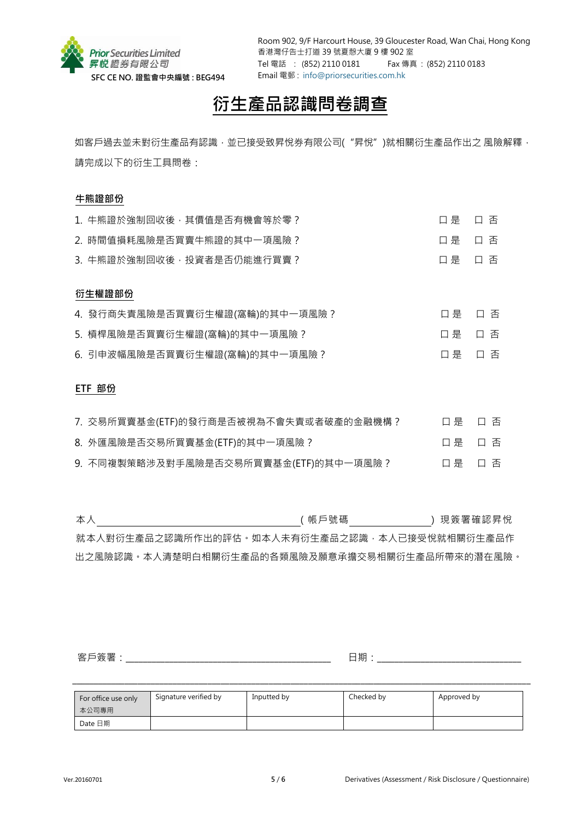

Room 902, 9/F Harcourt House, 39 Gloucester Road, Wan Chai, Hong Kong 香港灣仔告士打道 39 號夏慤大廈 9 樓 902 室 Tel 電話 : (852) 2110 0181 Fax 傳真 : (852) 2110 0183 Email 電郵 : [info@priorsecurities.com.hk](mailto:info@priorsecurities.com.hk)

# **衍生產品認識問卷調查**

如客戶過去並未對衍生產品有認識,並已接受致昇悅券有限公司("昇悅")就相關衍生產品作出之 風險解釋, 請完成以下的衍生工具問卷:

# **牛熊證部份**

| 1. 牛熊證於強制回收後, 其價值是否有機會等於零?     | 口是 | 口 否 |
|--------------------------------|----|-----|
| 2. 時間值損耗風險是否買賣牛熊證的其中一項風險?      | 口是 | 口 否 |
| 3. 牛熊證於強制回收後, 投資者是否仍能進行買賣?     | 口是 | 口否  |
|                                |    |     |
| 衍生權證部份                         |    |     |
| 4. 發行商失責風險是否買賣衍生權證(窩輪)的其中一項風險? | 口是 | 口 否 |
| 5. 槓桿風險是否買賣衍生權證(窩輪)的其中一項風險?    | 口是 | 口 否 |
| 6. 引申波幅風險是否買賣衍生權證(窩輪)的其中一項風險?  | 口是 | 口 否 |
|                                |    |     |

# **ETF 部份**

| 7. 交易所買賣基金(ETF)的發行商是否被視為不會失責或者破產的金融機構? | 口 是 口 否 |  |
|----------------------------------------|---------|--|
| 8. 外匯風險是否交易所買賣基金(ETF)的其中一項風險?          | 口是 口 否  |  |
| 9. 不同複製策略涉及對手風險是否交易所買賣基金(ETF)的其中一項風險?  | 口是 口 否  |  |

本人 ( 帳戶號碼 ) 現簽署確認昇悅 就本人對衍生產品之認識所作出的評估。如本人未有衍生產品之認識,本人已接受悅就相關衍生產品作 出之風險認識。本人清楚明白相關衍生產品的各類風險及願意承擔交易相關衍生產品所帶來的潛在風險。

客戶簽署:\_\_\_\_\_\_\_\_\_\_\_\_\_\_\_\_\_\_\_\_\_\_\_\_\_\_\_\_\_\_\_\_\_\_\_\_\_\_\_\_\_\_\_\_\_\_\_ 日期:\_\_\_\_\_\_\_\_\_\_\_\_\_\_\_\_\_\_\_\_\_\_\_\_\_\_\_\_\_\_\_\_\_

| For office use only<br>本公司專用 | Signature verified by | Inputted by | Checked by | Approved by |
|------------------------------|-----------------------|-------------|------------|-------------|
| Date 日期                      |                       |             |            |             |

 $\_$  ,  $\_$  ,  $\_$  ,  $\_$  ,  $\_$  ,  $\_$  ,  $\_$  ,  $\_$  ,  $\_$  ,  $\_$  ,  $\_$  ,  $\_$  ,  $\_$  ,  $\_$  ,  $\_$  ,  $\_$  ,  $\_$  ,  $\_$  ,  $\_$  ,  $\_$  ,  $\_$  ,  $\_$  ,  $\_$  ,  $\_$  ,  $\_$  ,  $\_$  ,  $\_$  ,  $\_$  ,  $\_$  ,  $\_$  ,  $\_$  ,  $\_$  ,  $\_$  ,  $\_$  ,  $\_$  ,  $\_$  ,  $\_$  ,